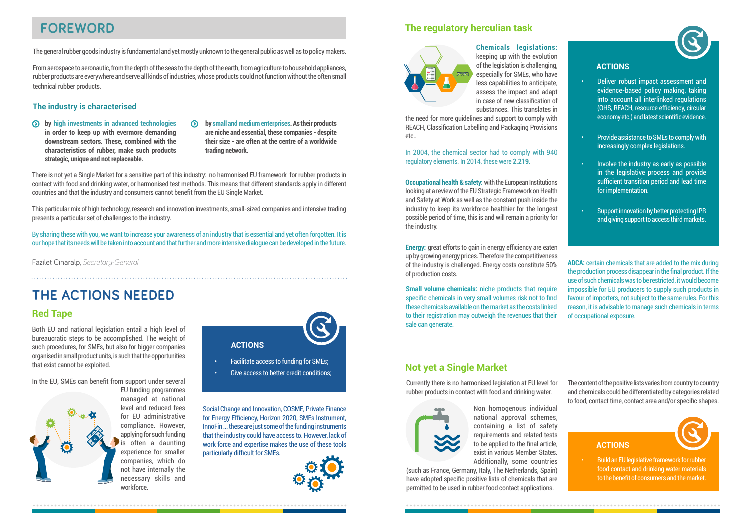### **FOREWORD**

The general rubber goods industry is fundamental and yet mostly unknown to the general public as well as to policy makers.

From aerospace to aeronautic, from the depth of the seas to the depth of the earth, from agriculture to household appliances, rubber products are everywhere and serve all kinds of industries, whose products could not function without the often small technical rubber products.

#### **The industry is characterised**

- **by high investments in advanced technologies in order to keep up with evermore demanding downstream sectors. These, combined with the characteristics of rubber, make such products strategic, unique and not replaceable.**
- **by small and medium enterprises. As their products are niche and essential, these companies - despite their size - are often at the centre of a worldwide trading network.**

There is not yet a Single Market for a sensitive part of this industry: no harmonised EU framework for rubber products in contact with food and drinking water, or harmonised test methods. This means that different standards apply in different countries and that the industry and consumers cannot benefit from the EU Single Market.

This particular mix of high technology, research and innovation investments, small-sized companies and intensive trading presents a particular set of challenges to the industry.

By sharing these with you, we want to increase your awareness of an industry that is essential and yet often forgotten. It is our hope that its needs will be taken into account and that further and more intensive dialogue can be developed in the future.

Fazilet Cinaralp, *Secretary-General*

# **THE ACTIONS NEEDED**

#### **Red Tape**

Both EU and national legislation entail a high level of bureaucratic steps to be accomplished. The weight of such procedures, for SMEs, but also for bigger companies organised in small product units, is such that the opportunities that exist cannot be exploited.

In the EU, SMEs can benefit from support under several EU funding programmes

> managed at national level and reduced fees for EU administrative compliance. However, applying for such funding is often a daunting experience for smaller companies, which do not have internally the necessary skills and workforce.



- Facilitate access to funding for SMEs;
- Give access to better credit conditions;

Social Change and Innovation, COSME, Private Finance for Energy Efficiency, Horizon 2020, SMEs Instrument, InnoFin ... these are just some of the funding instruments that the industry could have access to. However, lack of work force and expertise makes the use of these tools particularly difficult for SMEs.



### **The regulatory herculian task**



**Chemicals legislations:** keeping up with the evolution of the legislation is challenging, especially for SMEs, who have less capabilities to anticipate, assess the impact and adapt in case of new classification of substances. This translates in

the need for more guidelines and support to comply with REACH, Classification Labelling and Packaging Provisions etc..

#### In 2004, the chemical sector had to comply with 940 regulatory elements. In 2014, these were **2.219**.

**Occupational health & safety:** with the European Institutions looking at a review of the EU Strategic Framework on Health and Safety at Work as well as the constant push inside the industry to keep its workforce healthier for the longest possible period of time, this is and will remain a priority for the industry.

**Energy:** great efforts to gain in energy efficiency are eaten up by growing energy prices. Therefore the competitiveness of the industry is challenged. Energy costs constitute 50% of production costs.

**Small volume chemicals:** niche products that require specific chemicals in very small volumes risk not to find these chemicals available on the market as the costs linked to their registration may outweigh the revenues that their sale can generate.

### **ACTIONS**

- Deliver robust impact assessment and evidence-based policy making, taking into account all interlinked regulations (OHS, REACH, resource efficiency, circular economy etc.) and latest scientific evidence.
- Provide assistance to SMEs to comply with increasingly complex legislations.
- Involve the industry as early as possible in the legislative process and provide sufficient transition period and lead time for implementation.
- Support innovation by better protecting IPR and giving support to access third markets.

**ADCA:** certain chemicals that are added to the mix during the production process disappear in the final product. If the use of such chemicals was to be restricted, it would become impossible for EU producers to supply such products in favour of importers, not subject to the same rules. For this reason, it is advisable to manage such chemicals in terms of occupational exposure.

### **Not yet a Single Market**

Currently there is no harmonised legislation at EU level for rubber products in contact with food and drinking water.



Non homogenous individual national approval schemes, containing a list of safety requirements and related tests to be applied to the final article, exist in various Member States. Additionally, some countries

(such as France, Germany, Italy, The Netherlands, Spain) have adopted specific positive lists of chemicals that are permitted to be used in rubber food contact applications.

The content of the positive lists varies from country to country and chemicals could be differentiated by categories related to food, contact time, contact area and/or specific shapes.



• Build an EU legislative framework for rubber food contact and drinking water materials to the benefit of consumers and the market.